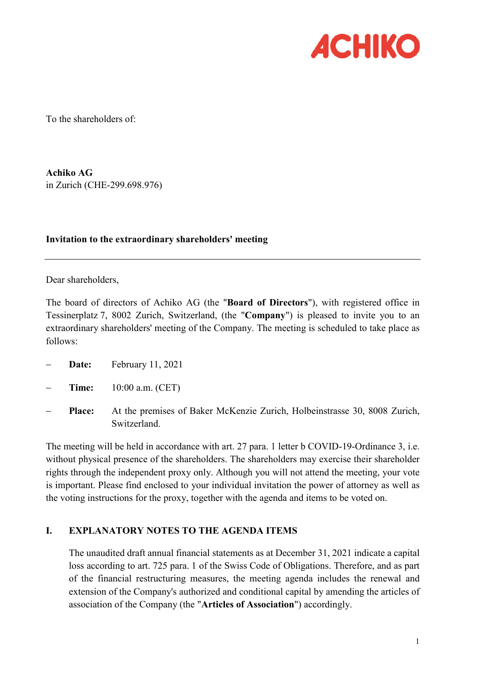

To the shareholders of:

Achiko AG in Zurich (CHE-299.698.976)

# Invitation to the extraordinary shareholders' meeting

Dear shareholders,

The board of directors of Achiko AG (the "Board of Directors"), with registered office in Tessinerplatz 7, 8002 Zurich, Switzerland, (the "Company") is pleased to invite you to an extraordinary shareholders' meeting of the Company. The meeting is scheduled to take place as follows:

- Date: February 11, 2021
- Time: 10:00 a.m. (CET)
- Place: At the premises of Baker McKenzie Zurich, Holbeinstrasse 30, 8008 Zurich, Switzerland.

The meeting will be held in accordance with art. 27 para. 1 letter b COVID-19-Ordinance 3, i.e. without physical presence of the shareholders. The shareholders may exercise their shareholder rights through the independent proxy only. Although you will not attend the meeting, your vote is important. Please find enclosed to your individual invitation the power of attorney as well as the voting instructions for the proxy, together with the agenda and items to be voted on.

# I. EXPLANATORY NOTES TO THE AGENDA ITEMS

The unaudited draft annual financial statements as at December 31, 2021 indicate a capital loss according to art. 725 para. 1 of the Swiss Code of Obligations. Therefore, and as part of the financial restructuring measures, the meeting agenda includes the renewal and extension of the Company's authorized and conditional capital by amending the articles of association of the Company (the "Articles of Association") accordingly.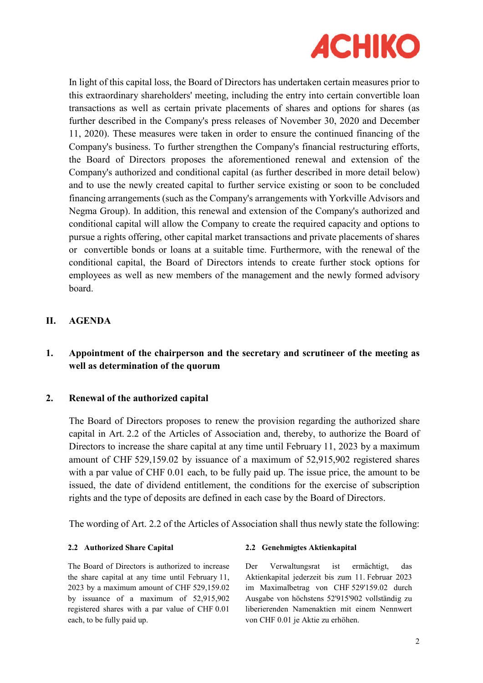

In light of this capital loss, the Board of Directors has undertaken certain measures prior to this extraordinary shareholders' meeting, including the entry into certain convertible loan transactions as well as certain private placements of shares and options for shares (as further described in the Company's press releases of November 30, 2020 and December 11, 2020). These measures were taken in order to ensure the continued financing of the Company's business. To further strengthen the Company's financial restructuring efforts, the Board of Directors proposes the aforementioned renewal and extension of the Company's authorized and conditional capital (as further described in more detail below) and to use the newly created capital to further service existing or soon to be concluded financing arrangements (such as the Company's arrangements with Yorkville Advisors and Negma Group). In addition, this renewal and extension of the Company's authorized and conditional capital will allow the Company to create the required capacity and options to pursue a rights offering, other capital market transactions and private placements of shares or convertible bonds or loans at a suitable time. Furthermore, with the renewal of the conditional capital, the Board of Directors intends to create further stock options for employees as well as new members of the management and the newly formed advisory board.

# II. AGENDA

# 1. Appointment of the chairperson and the secretary and scrutineer of the meeting as well as determination of the quorum

## 2. Renewal of the authorized capital

The Board of Directors proposes to renew the provision regarding the authorized share capital in Art. 2.2 of the Articles of Association and, thereby, to authorize the Board of Directors to increase the share capital at any time until February 11, 2023 by a maximum amount of CHF 529,159.02 by issuance of a maximum of 52,915,902 registered shares with a par value of CHF 0.01 each, to be fully paid up. The issue price, the amount to be issued, the date of dividend entitlement, the conditions for the exercise of subscription rights and the type of deposits are defined in each case by the Board of Directors.

The wording of Art. 2.2 of the Articles of Association shall thus newly state the following:

The Board of Directors is authorized to increase the share capital at any time until February 11, 2023 by a maximum amount of CHF 529,159.02 by issuance of a maximum of 52,915,902 registered shares with a par value of CHF 0.01 each, to be fully paid up.

#### 2.2 Authorized Share Capital 2.2 Genehmigtes Aktienkapital

Der Verwaltungsrat ist ermächtigt, das Aktienkapital jederzeit bis zum 11. Februar 2023 im Maximalbetrag von CHF 529'159.02 durch Ausgabe von höchstens 52'915'902 vollständig zu liberierenden Namenaktien mit einem Nennwert von CHF 0.01 je Aktie zu erhöhen.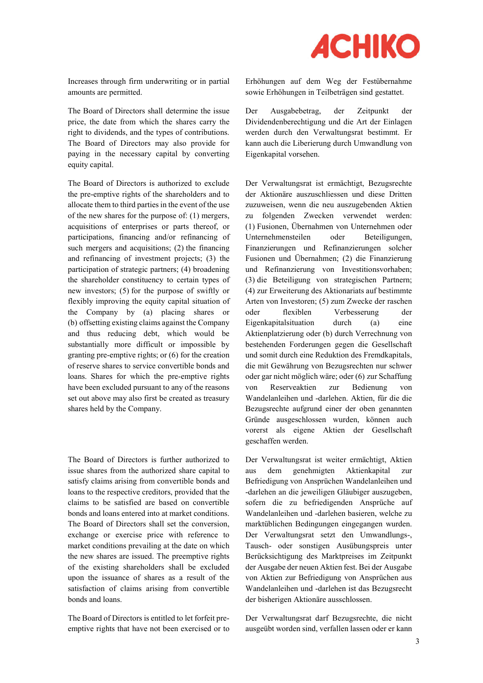

Increases through firm underwriting or in partial amounts are permitted.

The Board of Directors shall determine the issue price, the date from which the shares carry the right to dividends, and the types of contributions. The Board of Directors may also provide for paying in the necessary capital by converting equity capital.

The Board of Directors is authorized to exclude the pre-emptive rights of the shareholders and to allocate them to third parties in the event of the use of the new shares for the purpose of: (1) mergers, acquisitions of enterprises or parts thereof, or participations, financing and/or refinancing of such mergers and acquisitions; (2) the financing and refinancing of investment projects; (3) the participation of strategic partners; (4) broadening the shareholder constituency to certain types of new investors; (5) for the purpose of swiftly or flexibly improving the equity capital situation of the Company by (a) placing shares or (b) offsetting existing claims against the Company and thus reducing debt, which would be substantially more difficult or impossible by granting pre-emptive rights; or (6) for the creation of reserve shares to service convertible bonds and loans. Shares for which the pre-emptive rights have been excluded pursuant to any of the reasons set out above may also first be created as treasury shares held by the Company.

The Board of Directors is further authorized to issue shares from the authorized share capital to satisfy claims arising from convertible bonds and loans to the respective creditors, provided that the claims to be satisfied are based on convertible bonds and loans entered into at market conditions. The Board of Directors shall set the conversion, exchange or exercise price with reference to market conditions prevailing at the date on which the new shares are issued. The preemptive rights of the existing shareholders shall be excluded upon the issuance of shares as a result of the satisfaction of claims arising from convertible bonds and loans.

The Board of Directors is entitled to let forfeit preemptive rights that have not been exercised or to Erhöhungen auf dem Weg der Festübernahme sowie Erhöhungen in Teilbeträgen sind gestattet.

Der Ausgabebetrag, der Zeitpunkt der Dividendenberechtigung und die Art der Einlagen werden durch den Verwaltungsrat bestimmt. Er kann auch die Liberierung durch Umwandlung von Eigenkapital vorsehen.

Der Verwaltungsrat ist ermächtigt, Bezugsrechte der Aktionäre auszuschliessen und diese Dritten zuzuweisen, wenn die neu auszugebenden Aktien zu folgenden Zwecken verwendet werden: (1) Fusionen, Übernahmen von Unternehmen oder Unternehmensteilen oder Beteiligungen, Finanzierungen und Refinanzierungen solcher Fusionen und Übernahmen; (2) die Finanzierung und Refinanzierung von Investitionsvorhaben; (3) die Beteiligung von strategischen Partnern; (4) zur Erweiterung des Aktionariats auf bestimmte Arten von Investoren; (5) zum Zwecke der raschen oder flexiblen Verbesserung der Eigenkapitalsituation durch (a) eine Aktienplatzierung oder (b) durch Verrechnung von bestehenden Forderungen gegen die Gesellschaft und somit durch eine Reduktion des Fremdkapitals, die mit Gewährung von Bezugsrechten nur schwer oder gar nicht möglich wäre; oder (6) zur Schaffung von Reserveaktien zur Bedienung von Wandelanleihen und -darlehen. Aktien, für die die Bezugsrechte aufgrund einer der oben genannten Gründe ausgeschlossen wurden, können auch vorerst als eigene Aktien der Gesellschaft geschaffen werden.

Der Verwaltungsrat ist weiter ermächtigt, Aktien aus dem genehmigten Aktienkapital zur Befriedigung von Ansprüchen Wandelanleihen und -darlehen an die jeweiligen Gläubiger auszugeben, sofern die zu befriedigenden Ansprüche auf Wandelanleihen und -darlehen basieren, welche zu marktüblichen Bedingungen eingegangen wurden. Der Verwaltungsrat setzt den Umwandlungs-, Tausch- oder sonstigen Ausübungspreis unter Berücksichtigung des Marktpreises im Zeitpunkt der Ausgabe der neuen Aktien fest. Bei der Ausgabe von Aktien zur Befriedigung von Ansprüchen aus Wandelanleihen und -darlehen ist das Bezugsrecht der bisherigen Aktionäre ausschlossen.

Der Verwaltungsrat darf Bezugsrechte, die nicht ausgeübt worden sind, verfallen lassen oder er kann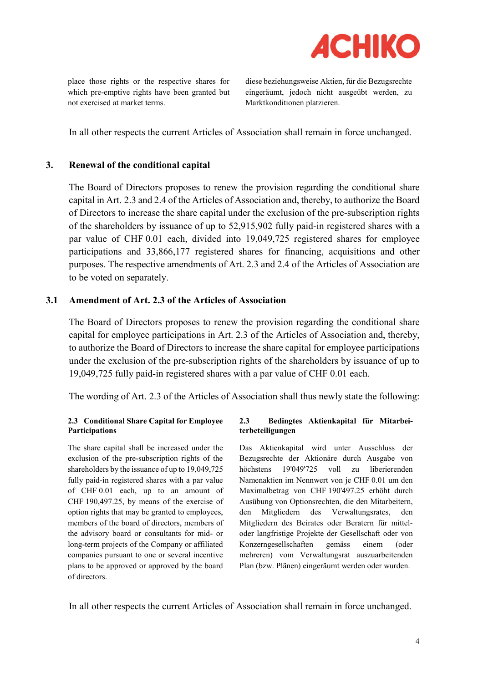

place those rights or the respective shares for which pre-emptive rights have been granted but not exercised at market terms.

diese beziehungsweise Aktien, für die Bezugsrechte eingeräumt, jedoch nicht ausgeübt werden, zu Marktkonditionen platzieren.

In all other respects the current Articles of Association shall remain in force unchanged.

# 3. Renewal of the conditional capital

The Board of Directors proposes to renew the provision regarding the conditional share capital in Art. 2.3 and 2.4 of the Articles of Association and, thereby, to authorize the Board of Directors to increase the share capital under the exclusion of the pre-subscription rights of the shareholders by issuance of up to 52,915,902 fully paid-in registered shares with a par value of CHF 0.01 each, divided into 19,049,725 registered shares for employee participations and 33,866,177 registered shares for financing, acquisitions and other purposes. The respective amendments of Art. 2.3 and 2.4 of the Articles of Association are to be voted on separately.

# 3.1 Amendment of Art. 2.3 of the Articles of Association

The Board of Directors proposes to renew the provision regarding the conditional share capital for employee participations in Art. 2.3 of the Articles of Association and, thereby, to authorize the Board of Directors to increase the share capital for employee participations under the exclusion of the pre-subscription rights of the shareholders by issuance of up to 19,049,725 fully paid-in registered shares with a par value of CHF 0.01 each.

The wording of Art. 2.3 of the Articles of Association shall thus newly state the following:

#### 2.3 Conditional Share Capital for Employee Participations

The share capital shall be increased under the exclusion of the pre-subscription rights of the shareholders by the issuance of up to 19,049,725 fully paid-in registered shares with a par value of CHF 0.01 each, up to an amount of CHF 190,497.25, by means of the exercise of option rights that may be granted to employees, members of the board of directors, members of the advisory board or consultants for mid- or long-term projects of the Company or affiliated companies pursuant to one or several incentive plans to be approved or approved by the board of directors.

#### 2.3 Bedingtes Aktienkapital für Mitarbeiterbeteiligungen

Das Aktienkapital wird unter Ausschluss der Bezugsrechte der Aktionäre durch Ausgabe von höchstens 19'049'725 voll zu liberierenden Namenaktien im Nennwert von je CHF 0.01 um den Maximalbetrag von CHF 190'497.25 erhöht durch Ausübung von Optionsrechten, die den Mitarbeitern, den Mitgliedern des Verwaltungsrates, den Mitgliedern des Beirates oder Beratern für mitteloder langfristige Projekte der Gesellschaft oder von Konzerngesellschaften gemäss einem (oder mehreren) vom Verwaltungsrat auszuarbeitenden Plan (bzw. Plänen) eingeräumt werden oder wurden.

In all other respects the current Articles of Association shall remain in force unchanged.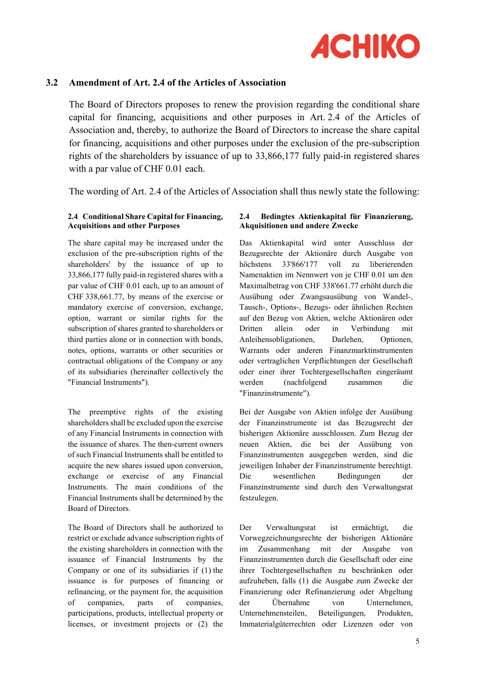

# 3.2 Amendment of Art. 2.4 of the Articles of Association

The Board of Directors proposes to renew the provision regarding the conditional share capital for financing, acquisitions and other purposes in Art. 2.4 of the Articles of Association and, thereby, to authorize the Board of Directors to increase the share capital for financing, acquisitions and other purposes under the exclusion of the pre-subscription rights of the shareholders by issuance of up to 33,866,177 fully paid-in registered shares with a par value of CHF 0.01 each.

The wording of Art. 2.4 of the Articles of Association shall thus newly state the following:

#### 2.4 Conditional Share Capital for Financing, Acquisitions and other Purposes

The share capital may be increased under the exclusion of the pre-subscription rights of the shareholders' by the issuance of up to 33,866,177 fully paid-in registered shares with a par value of CHF 0.01 each, up to an amount of CHF 338,661.77, by means of the exercise or mandatory exercise of conversion, exchange, option, warrant or similar rights for the subscription of shares granted to shareholders or third parties alone or in connection with bonds, notes, options, warrants or other securities or contractual obligations of the Company or any of its subsidiaries (hereinafter collectively the "Financial Instruments").

The preemptive rights of the existing shareholders shall be excluded upon the exercise of any Financial Instruments in connection with the issuance of shares. The then-current owners of such Financial Instruments shall be entitled to acquire the new shares issued upon conversion, exchange or exercise of any Financial Instruments. The main conditions of the Financial Instruments shall be determined by the Board of Directors.

The Board of Directors shall be authorized to restrict or exclude advance subscription rights of the existing shareholders in connection with the issuance of Financial Instruments by the Company or one of its subsidiaries if (1) the issuance is for purposes of financing or refinancing, or the payment for, the acquisition of companies, parts of companies, participations, products, intellectual property or licenses, or investment projects or (2) the

#### 2.4 Bedingtes Aktienkapital für Finanzierung, Akquisitionen und andere Zwecke

Das Aktienkapital wird unter Ausschluss der Bezugsrechte der Aktionäre durch Ausgabe von höchstens 33'866'177 voll zu liberierenden Namenaktien im Nennwert von je CHF 0.01 um den Maximalbetrag von CHF 338'661.77 erhöht durch die Ausübung oder Zwangsausübung von Wandel-, Tausch-, Options-, Bezugs- oder ähnlichen Rechten auf den Bezug von Aktien, welche Aktionären oder Dritten allein oder in Verbindung mit Anleihensobligationen, Darlehen, Optionen, Warrants oder anderen Finanzmarktinstrumenten oder vertraglichen Verpflichtungen der Gesellschaft oder einer ihrer Tochtergesellschaften eingeräumt werden (nachfolgend zusammen die "Finanzinstrumente").

Bei der Ausgabe von Aktien infolge der Ausübung der Finanzinstrumente ist das Bezugsrecht der bisherigen Aktionäre ausschlossen. Zum Bezug der neuen Aktien, die bei der Ausübung von Finanzinstrumenten ausgegeben werden, sind die jeweiligen Inhaber der Finanzinstrumente berechtigt. Die wesentlichen Bedingungen der Finanzinstrumente sind durch den Verwaltungsrat festzulegen.

Der Verwaltungsrat ist ermächtigt, die Vorwegzeichnungsrechte der bisherigen Aktionäre im Zusammenhang mit der Ausgabe von Finanzinstrumenten durch die Gesellschaft oder eine ihrer Tochtergesellschaften zu beschränken oder aufzuheben, falls (1) die Ausgabe zum Zwecke der Finanzierung oder Refinanzierung oder Abgeltung der Übernahme von Unternehmen, Unternehmensteilen, Beteiligungen, Produkten, Immaterialgüterrechten oder Lizenzen oder von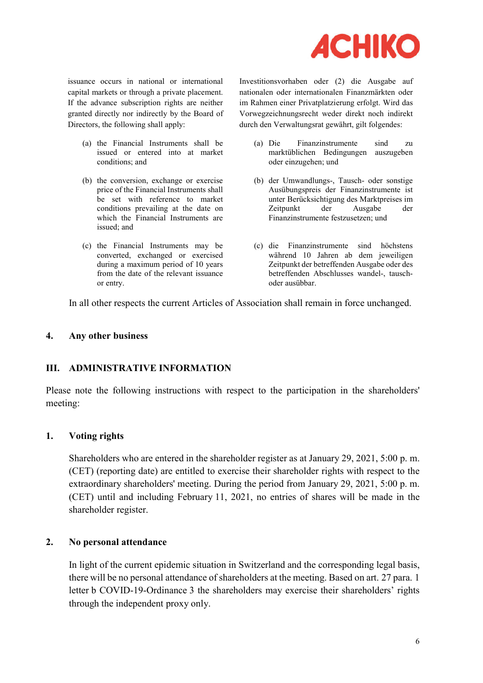

issuance occurs in national or international capital markets or through a private placement. If the advance subscription rights are neither granted directly nor indirectly by the Board of Directors, the following shall apply:

- (a) the Financial Instruments shall be issued or entered into at market conditions; and
- (b) the conversion, exchange or exercise price of the Financial Instruments shall be set with reference to market conditions prevailing at the date on which the Financial Instruments are issued; and
- (c) the Financial Instruments may be converted, exchanged or exercised during a maximum period of 10 years from the date of the relevant issuance or entry.

Investitionsvorhaben oder (2) die Ausgabe auf nationalen oder internationalen Finanzmärkten oder im Rahmen einer Privatplatzierung erfolgt. Wird das Vorwegzeichnungsrecht weder direkt noch indirekt durch den Verwaltungsrat gewährt, gilt folgendes:

- (a) Die Finanzinstrumente sind zu marktüblichen Bedingungen auszugeben oder einzugehen; und
- (b) der Umwandlungs-, Tausch- oder sonstige Ausübungspreis der Finanzinstrumente ist unter Berücksichtigung des Marktpreises im Zeitpunkt der Ausgabe der Finanzinstrumente festzusetzen; und
- (c) die Finanzinstrumente sind höchstens während 10 Jahren ab dem jeweiligen Zeitpunkt der betreffenden Ausgabe oder des betreffenden Abschlusses wandel-, tauschoder ausübbar.

In all other respects the current Articles of Association shall remain in force unchanged.

## 4. Any other business

# III. ADMINISTRATIVE INFORMATION

Please note the following instructions with respect to the participation in the shareholders' meeting:

# 1. Voting rights

Shareholders who are entered in the shareholder register as at January 29, 2021, 5:00 p. m. (CET) (reporting date) are entitled to exercise their shareholder rights with respect to the extraordinary shareholders' meeting. During the period from January 29, 2021, 5:00 p. m. (CET) until and including February 11, 2021, no entries of shares will be made in the shareholder register.

#### 2. No personal attendance

In light of the current epidemic situation in Switzerland and the corresponding legal basis, there will be no personal attendance of shareholders at the meeting. Based on art. 27 para. 1 letter b COVID-19-Ordinance 3 the shareholders may exercise their shareholders' rights through the independent proxy only.